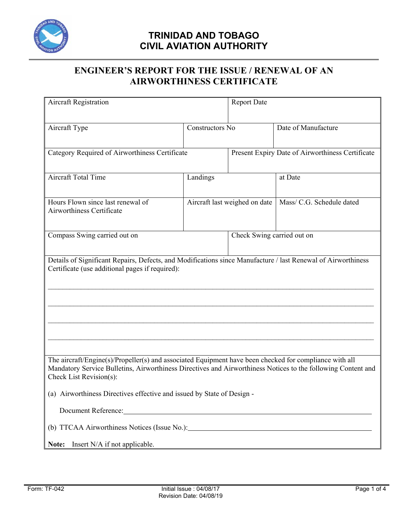

### **ENGINEER'S REPORT FOR THE ISSUE / RENEWAL OF AN AIRWORTHINESS CERTIFICATE**

| <b>Aircraft Registration</b>                                                                                 |                 | <b>Report Date</b>            |                                                       |  |  |
|--------------------------------------------------------------------------------------------------------------|-----------------|-------------------------------|-------------------------------------------------------|--|--|
|                                                                                                              |                 |                               |                                                       |  |  |
| Aircraft Type                                                                                                | Constructors No |                               | Date of Manufacture                                   |  |  |
|                                                                                                              |                 |                               |                                                       |  |  |
| Category Required of Airworthiness Certificate                                                               |                 |                               | Present Expiry Date of Airworthiness Certificate      |  |  |
|                                                                                                              |                 |                               |                                                       |  |  |
| <b>Aircraft Total Time</b>                                                                                   | Landings        |                               | at Date                                               |  |  |
|                                                                                                              |                 |                               |                                                       |  |  |
| Hours Flown since last renewal of<br>Airworthiness Certificate                                               |                 | Aircraft last weighed on date | Mass/ C.G. Schedule dated                             |  |  |
|                                                                                                              |                 |                               |                                                       |  |  |
| Compass Swing carried out on                                                                                 |                 | Check Swing carried out on    |                                                       |  |  |
|                                                                                                              |                 |                               |                                                       |  |  |
| Details of Significant Repairs, Defects, and Modifications since Manufacture / last Renewal of Airworthiness |                 |                               |                                                       |  |  |
| Certificate (use additional pages if required):                                                              |                 |                               |                                                       |  |  |
|                                                                                                              |                 |                               |                                                       |  |  |
|                                                                                                              |                 |                               |                                                       |  |  |
|                                                                                                              |                 |                               |                                                       |  |  |
|                                                                                                              |                 |                               |                                                       |  |  |
|                                                                                                              |                 |                               |                                                       |  |  |
|                                                                                                              |                 |                               |                                                       |  |  |
| The aircraft/Engine(s)/Propeller(s) and associated Equipment have been checked for compliance with all       |                 |                               |                                                       |  |  |
| Mandatory Service Bulletins, Airworthiness Directives and Airworthiness Notices to the following Content and |                 |                               |                                                       |  |  |
| Check List Revision(s):                                                                                      |                 |                               |                                                       |  |  |
| (a) Airworthiness Directives effective and issued by State of Design -                                       |                 |                               |                                                       |  |  |
| Document Reference:                                                                                          |                 |                               |                                                       |  |  |
|                                                                                                              |                 |                               |                                                       |  |  |
| Insert N/A if not applicable.<br>Note:                                                                       |                 |                               |                                                       |  |  |
|                                                                                                              |                 |                               | <u> 1989 - Johann Stein, fransk politik (d. 1989)</u> |  |  |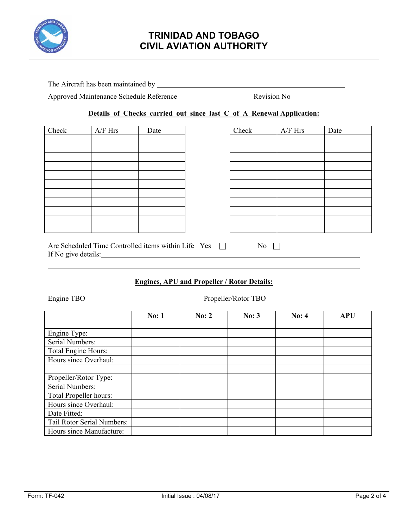

The Aircraft has been maintained by **Example 2018** 2019 12:00:00 The Aircraft has been maintained by **Example 2018** 

Approved Maintenance Schedule Reference Revision No

### **Details of Checks carried out since last C of A Renewal Application:**

| Check | $A/F$ Hrs | Date | Check | $\rm{A/F}$ Hrs | Date |
|-------|-----------|------|-------|----------------|------|
|       |           |      |       |                |      |
|       |           |      |       |                |      |
|       |           |      |       |                |      |
|       |           |      |       |                |      |
|       |           |      |       |                |      |
|       |           |      |       |                |      |
|       |           |      |       |                |      |
|       |           |      |       |                |      |
|       |           |      |       |                |      |
|       |           |      |       |                |      |
|       |           |      |       |                |      |
|       |           |      |       |                |      |

| Check | $A/F$ Hrs | Date |
|-------|-----------|------|
|       |           |      |
|       |           |      |
|       |           |      |
|       |           |      |
|       |           |      |
|       |           |      |
|       |           |      |
|       |           |      |
|       |           |      |
|       |           |      |
|       |           |      |
|       |           |      |

| Are Scheduled Time Controlled items within Life Yes |  | No. |
|-----------------------------------------------------|--|-----|
| If No give details:                                 |  |     |

### **Engines, APU and Propeller / Rotor Details:**

Engine TBO Propeller/Rotor TBO

|                            | No: 1 | No: 2 | No: 3 | <b>No: 4</b> | <b>APU</b> |
|----------------------------|-------|-------|-------|--------------|------------|
|                            |       |       |       |              |            |
| Engine Type:               |       |       |       |              |            |
| Serial Numbers:            |       |       |       |              |            |
| Total Engine Hours:        |       |       |       |              |            |
| Hours since Overhaul:      |       |       |       |              |            |
|                            |       |       |       |              |            |
| Propeller/Rotor Type:      |       |       |       |              |            |
| Serial Numbers:            |       |       |       |              |            |
| Total Propeller hours:     |       |       |       |              |            |
| Hours since Overhaul:      |       |       |       |              |            |
| Date Fitted:               |       |       |       |              |            |
| Tail Rotor Serial Numbers: |       |       |       |              |            |
| Hours since Manufacture:   |       |       |       |              |            |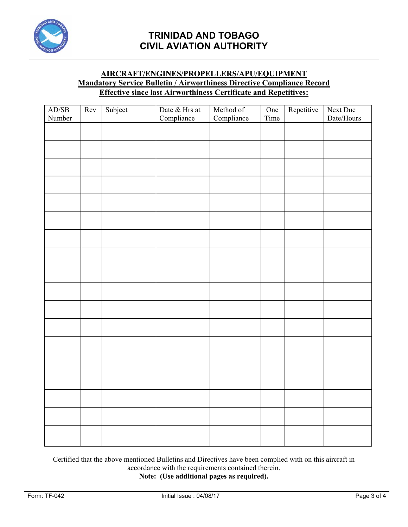

### **AIRCRAFT/ENGINES/PROPELLERS/APU/EQUIPMENT Mandatory Service Bulletin / Airworthiness Directive Compliance Record Effective since last Airworthiness Certificate and Repetitives:**

| AD/SB  | Rev | Subject | Date & Hrs at | Method of<br>Compliance | One  | Repetitive | Next Due                   |
|--------|-----|---------|---------------|-------------------------|------|------------|----------------------------|
| Number |     |         | Compliance    |                         | Time |            | $\text{Date}/\text{Hours}$ |
|        |     |         |               |                         |      |            |                            |
|        |     |         |               |                         |      |            |                            |
|        |     |         |               |                         |      |            |                            |
|        |     |         |               |                         |      |            |                            |
|        |     |         |               |                         |      |            |                            |
|        |     |         |               |                         |      |            |                            |
|        |     |         |               |                         |      |            |                            |
|        |     |         |               |                         |      |            |                            |
|        |     |         |               |                         |      |            |                            |
|        |     |         |               |                         |      |            |                            |
|        |     |         |               |                         |      |            |                            |
|        |     |         |               |                         |      |            |                            |
|        |     |         |               |                         |      |            |                            |
|        |     |         |               |                         |      |            |                            |
|        |     |         |               |                         |      |            |                            |
|        |     |         |               |                         |      |            |                            |
|        |     |         |               |                         |      |            |                            |
|        |     |         |               |                         |      |            |                            |

Certified that the above mentioned Bulletins and Directives have been complied with on this aircraft in accordance with the requirements contained therein.

**Note: (Use additional pages as required).**